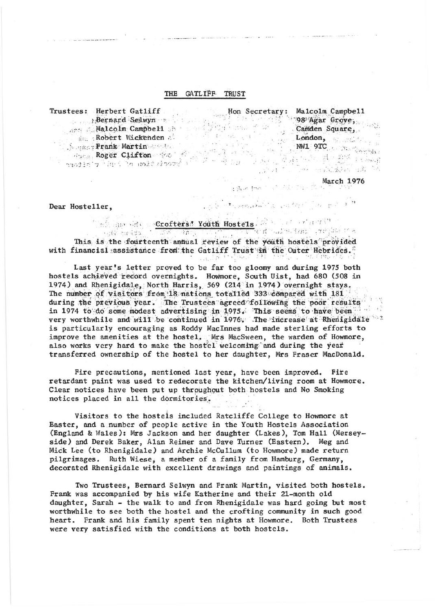## THE GATLIFF TRUST

Fustes: Herbert Gatliff<br>
Bernard Selwyn<br>
Malcolm Campbell<br>
Malcolm Campbell<br>
Malcolm Campbell<br>
Malcolm Campbell<br>
Malcolm Campbell<br>
Malcolm Campbell<br>
Camden Square<br>
Camden Square<br>
London,<br>
MML 9TC<br>
MML 9TC<br>
MML 9TC<br>
MML 9TC Trustees: Herbert Gatliff  $\mathbb{R}^n \times \mathbb{R}^n$ 

 $March 1976$ 

 $-14.1$ 

Dear Hosteller.

A mission of the Crofters of Youth Hostels. This is the fourteenth annual review of the youth hostels provided with financial assistance from the Gatliff Trust in the Outer Hebrides.

 $\ldots, \tau, \ldots, \tau$ 

 $\mathcal{F} = \{ \mathcal{F} \mathcal{F} \}$  .

Last year's letter proved to be far too gloomy and during 1975 both hostels achieved record overnights. Howmore, South Uist, had 680 (508 in 1974) and Rhenigidale, North Harris, 569 (214 in 1974) overnight stays. The number of visitors from 18 nations totalled 333 compared with 181 during the previous year. The Trustees agreed following the poor results in 1974 to do some modest advertising in 1975. This seems to have been very worthwhile and will be continued in 1976. The increase at Rhenigidale is particularly encouraging as Roddy MacInnes had made sterling efforts to improve the amenities at the hostel. Mrs MacSween, the warden of Howmore, also works very hard to make the hostel welcoming and during the year transferred ownership of the hostel to her daughter, Mrs Fraser MacDonald.

Fire precautions, mentioned last year, have been improved. Fire retardant paint was used to redecorate the kitchen/living room at Howmore. Clear notices have been put up throughout both hostels and No Smoking notices placed in all the dormitories.

Visitors to the hostels included Ratcliffe College to Howmore at Easter, and a number of people active in the Youth Hostels Association (England & Wales): Mrs Jackson and her daughter (Lakes), Tom Hall (Merseyside) and Derek Baker, Alan Reimer and Dave Turner (Eastern). Meg and Mick Lee (to Rhenigidale) and Archie McCullum (to Howmore) made return pilgrimages. Ruth Wiese, a member of a family from Hamburg, Germany, decorated Rhenigidale with excellent drawings and paintings of animals.

Two Trustees, Bernard Selwyn and Frank Martin, visited both hostels. Frank was accompanied by his wife Katherine and their 21-month old daughter, Sarah - the walk to and from Rhenigidale was hard going but most worthwhile to see both the hostel and the crofting community in such good heart. Frank and his family spent ten nights at Howmore. Both Trustees were very satisfied with the conditions at both hostels.